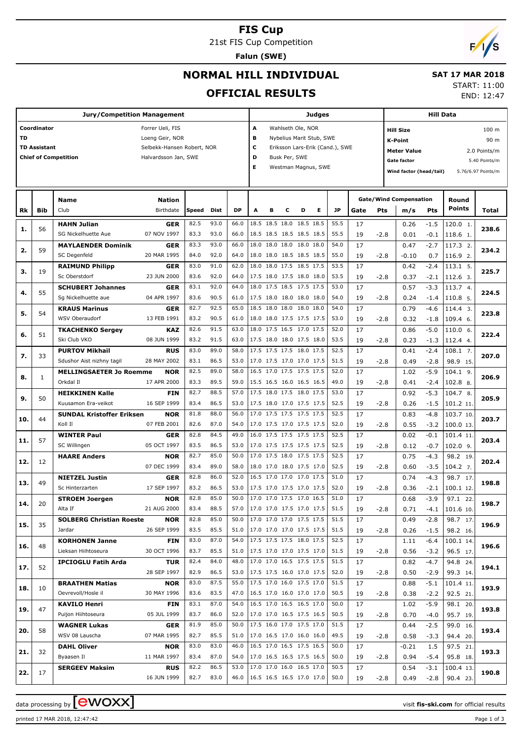#### **FIS Cup**

21st FIS Cup Competition

**Falun (SWE)**

### **NORMAL HILL INDIVIDUAL**

#### **SAT 17 MAR 2018** START: 11:00

7.

END: 12:47

#### **OFFICIAL RESULTS Jury/Competition Management Coordinator** Forrer Ueli, FIS **TD** Loeng Geir, NOR TD Assistant **TD Assistant** Selbekk-Hansen Robert, NOR **Chief of Competition Halvardsson Jan, SWE Judges A** Wahlseth Ole, NOR **B** Nybelius Marit Stub, SWE **C** Eriksson Lars-Erik (Cand.), SWE **D** Busk Per, SWE **E** Westman Magnus, SWE **Hill Data K-Point** 90 m **Hill Size** 100 m **Meter Value** 2.0 Points/m **Gate factor** 5.40 Points/m **Wind factor (head/tail)** 5.76/6.97 Points/m **Bib Name** Club Birthdate **Nation Rk Speed Dist DP A B C D E JP Total Round m/s Pts Points Gate/Wind Compensation Gate Pts HAHN Julian** SG Nickelhuette Aue **GER** 07 NOV 1997 56 82.5 93.0 66.0 18.5 18.5 18.0 18.5 18.5 55.5 83.3 93.0 66.0 18.5 18.5 18.5 18.5 18.5 55.5 19 -2.8 0.01 -0.1 118.6 1.  $120.0 1$ **1. 238.6** -1.5 -0.1 0.26 0.01 17  $-2.8$ **MAYLAENDER Dominik** SC Degenfeld **GER** 20 MAR 1995 59 83.3 93.0 66.0 18.0 18.0 18.0 18.0 18.0 54.0 84.0 92.0 64.0 18.0 18.0 18.5 18.5 18.5 55.0 19 -2.8 -0.10 0.7 116.9 2.  $\overline{117.3}$  2. **2. 234.2**  $-2.7$  0.7  $0.47$  $-0.10$  17  $-2.8$ **RAIMUND Philipp** Sc Oberstdorf **GER** 23 JUN 2000 19 83.0 91.0 62.0 18.0 18.0 17.5 18.5 17.5 53.5 83.6 92.0 64.0 17.5 18.0 17.5 18.0 18.0 53.5 19 -2.8 0.37 -2.1 112.6 3.  $113.15$ **3. 225.7**  $-2.4$ -2.1 0.42 0.37 17  $-2.8$ **SCHUBERT Johannes** Sg Nickelhuette aue **GER** 04 APR 1997 55 83.1 92.0 64.0 18.0 17.5 18.5 17.5 17.5 53.0 83.6 90.5 61.0 17.5 18.0 18.0 18.0 18.0 54.0 19 -2.8 0.24 -1.4 110.8 5.  $\overline{113.74}$ **4. 224.5** -3.3  $-1.4$  $0.57$  0.24 17  $-2.8$ **KRAUS Marinus** WSV Oberaudorf **GER** 13 FEB 1991 54  $82.7$  92.5 65.0 18.5 18.0 18.0 18.0 18.0 54.0 83.2 90.5 61.0 18.0 18.0 17.5 17.5 17.5 53.0 19 -2.8 0.32 -1.8 109.4 6.  $114.4$  3. **5. 223.8**  $-4.6$ -1.8 0.79 0.32 17  $-2.8$ **TKACHENKO Sergey** Ski Club VKO **KAZ** 08 JUN 1999 51 82.6 91.5 63.0 18.0 17.5 16.5 17.0 17.5 52.0 83.2 91.5 63.0 17.5 18.0 18.0 17.5 18.0 53.5 19 -2.8 0.23 -1.3 112.4 4.  $110.06$ . **6. 222.4** -5.0 -1.3 0.86 0.23 17  $-2.8$ **PURTOV Mikhail** Sdushor Aist nizhny tagil **RUS** 28 MAY 2002 33 83.0 89.0 58.0 17.5 17.5 17.5 18.0 17.5 52.5  $-2.4$  108.1 -2.8  $0.41$  0.49 17 19 -2.8 **MELLINGSAETER Jo Roemme** Orkdal Il **NOR** 17 APR 2000 1 -5.9 -2.4 1.02 0.41 17 19 -2.8 **HEIKKINEN Kalle** Kuusamon Era-veikot **FIN** 16 SEP 1999 50 -5.3 -1.5 0.92 0.26 17 19 -2.8 **SUNDAL Kristoffer Eriksen** Koll Il **NOR** 07 FEB 2001 44 -4.8 0.83 17

| 7.  | 33           |                                  |             |      |      |      |      |  |                          |      |    |        |         |        |             | 207.0 |
|-----|--------------|----------------------------------|-------------|------|------|------|------|--|--------------------------|------|----|--------|---------|--------|-------------|-------|
|     |              | Sdushor Aist nizhny tagil        | 28 MAY 2002 | 83.1 | 86.5 | 53.0 |      |  | 17.0 17.5 17.0 17.0 17.5 | 51.5 | 19 | $-2.8$ | 0.49    | $-2.8$ | 98.9 15.    |       |
| 8.  | $\mathbf{1}$ | <b>MELLINGSAETER Jo Roemme</b>   | <b>NOR</b>  | 82.5 | 89.0 | 58.0 |      |  | 16.5 17.0 17.5 17.5 17.5 | 52.0 | 17 |        | 1.02    | $-5.9$ | $104.1$ 9.  | 206.9 |
|     |              | Orkdal II                        | 17 APR 2000 | 83.3 | 89.5 | 59.0 |      |  | 15.5 16.5 16.0 16.5 16.5 | 49.0 | 19 | $-2.8$ | 0.41    | $-2.4$ | $102.8$ 8.  |       |
| 9.  | 50           | <b>HEIKKINEN Kalle</b>           | <b>FIN</b>  | 82.7 | 88.5 | 57.0 |      |  | 17.5 18.0 17.5 18.0 17.5 | 53.0 | 17 |        | 0.92    | $-5.3$ | 104.7 8.    | 205.9 |
|     |              | Kuusamon Era-veikot              | 16 SEP 1999 | 83.4 | 86.5 | 53.0 |      |  | 17.5 18.0 17.0 17.5 17.5 | 52.5 | 19 | $-2.8$ | 0.26    | $-1.5$ | 101.2 11.   |       |
| 10. | 44           | <b>SUNDAL Kristoffer Eriksen</b> | <b>NOR</b>  | 81.8 | 88.0 | 56.0 |      |  | 17.0 17.5 17.5 17.5 17.5 | 52.5 | 17 |        | 0.83    | $-4.8$ | 103.7 10.   | 203.7 |
|     |              | Koll II                          | 07 FEB 2001 | 82.6 | 87.0 | 54.0 |      |  | 17.0 17.5 17.0 17.5 17.5 | 52.0 | 19 | $-2.8$ | 0.55    | $-3.2$ | 100.0 13.   |       |
| 11. | 57           | <b>WINTER Paul</b>               | <b>GER</b>  | 82.8 | 84.5 | 49.0 |      |  | 16.0 17.5 17.5 17.5 17.5 | 52.5 | 17 |        | 0.02    | $-0.1$ | 101.4 11.   | 203.4 |
|     |              | SC Willingen                     | 05 OCT 1997 | 83.5 | 86.5 | 53.0 |      |  | 17.0 17.5 17.5 17.5 17.5 | 52.5 | 19 | $-2.8$ | 0.12    | $-0.7$ | $102.0$ 9.  |       |
| 12. | 12           | <b>HAARE Anders</b>              | <b>NOR</b>  | 82.7 | 85.0 | 50.0 |      |  | 17.0 17.5 18.0 17.5 17.5 | 52.5 | 17 |        | 0.75    | $-4.3$ | 98.2 19.    | 202.4 |
|     |              |                                  | 07 DEC 1999 | 83.4 | 89.0 | 58.0 |      |  | 18.0 17.0 18.0 17.5 17.0 | 52.5 | 19 | $-2.8$ | 0.60    | $-3.5$ | $104.2$ 7.  |       |
| 13. | 49           | <b>NIETZEL Justin</b>            | <b>GER</b>  | 82.8 | 86.0 | 52.0 |      |  | 16.5 17.0 17.0 17.0 17.5 | 51.0 | 17 |        | 0.74    | $-4.3$ | 98.7 17.    | 198.8 |
|     |              | Sc Hinterzarten                  | 17 SEP 1997 | 83.2 | 86.5 | 53.0 |      |  | 17.5 17.0 17.5 17.0 17.5 | 52.0 | 19 | $-2.8$ | 0.36    | $-2.1$ | 100.1 12.   |       |
| 14. | 20           | <b>STROEM Joergen</b>            | <b>NOR</b>  | 82.8 | 85.0 | 50.0 |      |  | 17.0 17.0 17.5 17.0 16.5 | 51.0 | 17 |        | 0.68    | $-3.9$ | 97.1 22.    | 198.7 |
|     |              | Alta If                          | 21 AUG 2000 | 83.4 | 88.5 | 57.0 |      |  | 17.0 17.0 17.5 17.0 17.5 | 51.5 | 19 | $-2.8$ | 0.71    | $-4.1$ | 101.6 10.   |       |
| 15. | 35           | <b>SOLBERG Christian Roeste</b>  | <b>NOR</b>  | 82.8 | 85.0 | 50.0 |      |  | 17.0 17.0 17.0 17.5 17.5 | 51.5 | 17 |        | 0.49    | $-2.8$ | 98.7 17.    | 196.9 |
|     |              | Jardar                           | 26 SEP 1999 | 83.5 | 85.5 | 51.0 |      |  | 17.0 17.0 17.0 17.5 17.5 | 51.5 | 19 | $-2.8$ | 0.26    | $-1.5$ | 98.2 16.    |       |
| 16. | 48           | <b>KORHONEN Janne</b>            | <b>FIN</b>  | 83.0 | 87.0 | 54.0 |      |  | 17.5 17.5 17.5 18.0 17.5 | 52.5 | 17 |        | 1.11    | $-6.4$ | 100.1 14.   | 196.6 |
|     |              | Lieksan Hiihtoseura              | 30 OCT 1996 | 83.7 | 85.5 | 51.0 |      |  | 17.5 17.0 17.0 17.5 17.0 | 51.5 | 19 | $-2.8$ | 0.56    | $-3.2$ | 96.5 17.    |       |
| 17. | 52           | <b>IPCIOGLU Fatih Arda</b>       | <b>TUR</b>  | 82.4 | 84.0 | 48.0 |      |  | 17.0 17.0 16.5 17.5 17.5 | 51.5 | 17 |        | 0.82    | $-4.7$ | 94.8<br>24. | 194.1 |
|     |              |                                  | 28 SEP 1997 | 82.9 | 86.5 | 53.0 |      |  | 17.5 17.5 16.0 17.0 17.5 | 52.0 | 19 | $-2.8$ | 0.50    | $-2.9$ | 99.3 14.    |       |
| 18. | 10           | <b>BRAATHEN Matias</b>           | <b>NOR</b>  | 83.0 | 87.5 | 55.0 |      |  | 17.5 17.0 16.0 17.5 17.0 | 51.5 | 17 |        | 0.88    | $-5.1$ | 101.4 11.   | 193.9 |
|     |              | Oevrevoll/Hosle il               | 30 MAY 1996 | 83.6 | 83.5 | 47.0 |      |  | 16.5 17.0 16.0 17.0 17.0 | 50.5 | 19 | $-2.8$ | 0.38    | $-2.2$ | 92.5 21.    |       |
| 19. | 47           | <b>KAVILO Henri</b>              | <b>FIN</b>  | 83.1 | 87.0 | 54.0 |      |  | 16.5 17.0 16.5 16.5 17.0 | 50.0 | 17 |        | 1.02    | $-5.9$ | 98.1 20.    | 193.8 |
|     |              | Puijon Hiihtoseura               | 05 JUL 1999 | 83.7 | 86.0 | 52.0 |      |  | 17.0 17.0 16.5 17.5 16.5 | 50.5 | 19 | $-2.8$ | 0.70    | $-4.0$ | 95.7 19.    |       |
| 20. | 58           | <b>WAGNER Lukas</b>              | <b>GER</b>  | 81.9 | 85.0 | 50.0 |      |  | 17.5 16.0 17.0 17.5 17.0 | 51.5 | 17 |        | 0.44    | $-2.5$ | 99.0 16.    | 193.4 |
|     |              | WSV 08 Lauscha                   | 07 MAR 1995 | 82.7 | 85.5 | 51.0 |      |  | 17.0 16.5 17.0 16.0 16.0 | 49.5 | 19 | $-2.8$ | 0.58    | $-3.3$ | 94.4 20.    |       |
| 21. | 32           | <b>DAHL Oliver</b>               | <b>NOR</b>  | 83.0 | 83.0 | 46.0 |      |  | 16.5 17.0 16.5 17.5 16.5 | 50.0 | 17 |        | $-0.21$ | 1.5    | 97.5 21.    | 193.3 |
|     |              | Byaasen Il                       | 11 MAR 1997 | 83.4 | 87.0 | 54.0 | 17.0 |  | 16.5 16.5 17.5 16.5      | 50.0 | 19 | $-2.8$ | 0.94    | $-5.4$ | 95.8 18.    |       |
| 22. | 17           | <b>SERGEEV Maksim</b>            | <b>RUS</b>  | 82.2 | 86.5 | 53.0 |      |  | 17.0 17.0 16.0 16.5 17.0 | 50.5 | 17 |        | 0.54    | $-3.1$ | 100.4 13.   | 190.8 |
|     |              |                                  | 16 JUN 1999 | 82.7 | 83.0 | 46.0 |      |  | 16.5 16.5 16.5 17.0 17.0 | 50.0 | 19 | $-2.8$ | 0.49    | $-2.8$ | 90.4 23.    |       |
|     |              |                                  |             |      |      |      |      |  |                          |      |    |        |         |        |             |       |

printed 17 MAR 2018, 12:47:42 Page 1 of 3

data processing by  $\boxed{\text{ewOX}}$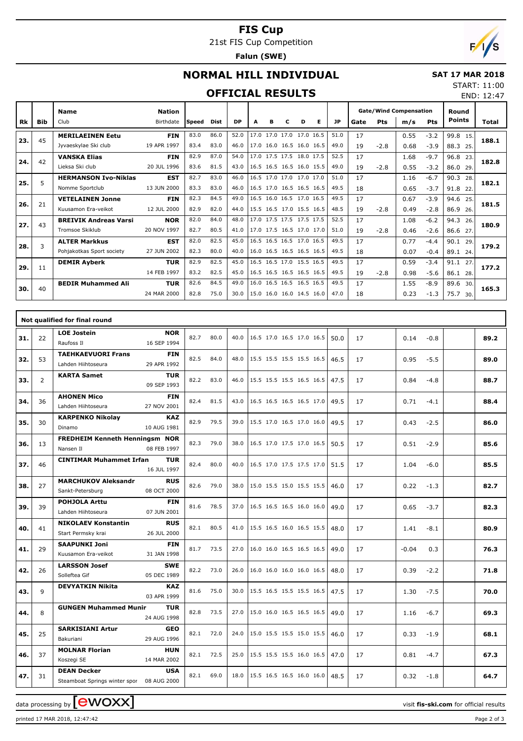# **FIS Cup**

21st FIS Cup Competition

**Falun (SWE)**

# $F/1/s$

END: 12:47

## **NORMAL HILL INDIVIDUAL**

#### **SAT 17 MAR 2018** START: 11:00

#### **OFFICIAL RESULTS**

|           |            | <b>Name</b>                  | <b>Nation</b> |        |      |           |      |   |                          |   |                          |           | <b>Gate/Wind Compensation</b> |        |      |            | Round<br><b>Points</b> |       |
|-----------|------------|------------------------------|---------------|--------|------|-----------|------|---|--------------------------|---|--------------------------|-----------|-------------------------------|--------|------|------------|------------------------|-------|
| <b>Rk</b> | <b>Bib</b> | Club                         | Birthdate     | lSpeed | Dist | <b>DP</b> | A    | в | c                        | D | Е                        | <b>JP</b> | Gate                          | Pts    | m/s  | <b>Pts</b> |                        | Total |
| 23.       | 45         | <b>MERILAEINEN Eetu</b>      | <b>FIN</b>    | 83.0   | 86.0 | 52.0      | 17.0 |   | 17.0 17.0 17.0 16.5      |   |                          | 51.0      | 17                            |        | 0.55 | $-3.2$     | 99.8<br>15.            | 188.1 |
|           |            | Jyvaeskylae Ski club         | 19 APR 1997   | 83.4   | 83.0 | 46.0      |      |   | 17.0 16.0 16.5 16.0 16.5 |   |                          | 49.0      | 19                            | $-2.8$ | 0.68 | $-3.9$     | 88.3<br>25.            |       |
| 24.       | 42         | <b>VANSKA Elias</b>          | <b>FIN</b>    | 82.9   | 87.0 | 54.0      |      |   | 17.0 17.5 17.5 18.0 17.5 |   |                          | 52.5      | 17                            |        | 1.68 | $-9.7$     | 96.8<br>23.            | 182.8 |
|           |            | Lieksa Ski club              | 20 JUL 1996   | 83.6   | 81.5 | 43.0      |      |   | 16.5 16.5 16.5 16.0 15.5 |   |                          | 49.0      | 19                            | $-2.8$ | 0.55 | $-3.2$     | 86.0<br>29.            |       |
| 25.       | 5          | <b>HERMANSON Ivo-Niklas</b>  | <b>EST</b>    | 82.7   | 83.0 | 46.0      | 16.5 |   | 17.0 17.0 17.0 17.0      |   |                          | 51.0      | 17                            |        | 1.16 | $-6.7$     | 90.3<br>28.            | 182.1 |
|           |            | Nomme Sportclub              | 13 JUN 2000   | 83.3   | 83.0 | 46.0      |      |   | 16.5 17.0 16.5 16.5 16.5 |   |                          | 49.5      | 18                            |        | 0.65 | $-3.7$     | 91.8<br>22             |       |
| 26.       | 21         | <b>VETELAINEN Jonne</b>      | <b>FIN</b>    | 82.3   | 84.5 | 49.0      | 16.5 |   | 16.0 16.5 17.0 16.5      |   |                          | 49.5      | 17                            |        | 0.67 | $-3.9$     | 94.6<br>25.            | 181.5 |
|           |            | Kuusamon Era-veikot          | 12 JUL 2000   | 82.9   | 82.0 | 44.0      |      |   | 15.5 16.5 17.0 15.5 16.5 |   |                          | 48.5      | 19                            | $-2.8$ | 0.49 | $-2.8$     | 86.9<br>26.            |       |
| 27.       | 43         | <b>BREIVIK Andreas Varsi</b> | <b>NOR</b>    | 82.0   | 84.0 | 48.0      | 17.0 |   | 17.5 17.5 17.5 17.5      |   |                          | 52.5      | 17                            |        | 1.08 | $-6.2$     | 94.3<br>26.            | 180.9 |
|           |            | Tromsoe Skiklub              | 20 NOV 1997   | 82.7   | 80.5 | 41.0      |      |   | 17.0 17.5 16.5 17.0 17.0 |   |                          | 51.0      | 19                            | $-2.8$ | 0.46 | $-2.6$     | 86.6<br>27.            |       |
| 28.       | 3          | <b>ALTER Markkus</b>         | <b>EST</b>    | 82.0   | 82.5 | 45.0      |      |   | 16.5 16.5 16.5 17.0 16.5 |   |                          | 49.5      | 17                            |        | 0.77 | $-4.4$     | 90.1<br>29.            | 179.2 |
|           |            | Pohjakotkas Sport society    | 27 JUN 2002   | 82.3   | 80.0 | 40.0      |      |   |                          |   | 16.0 16.5 16.5 16.5 16.5 | 49.5      | 18                            |        | 0.07 | $-0.4$     | 89.1<br>24.            |       |
| 29.       | 11         | <b>DEMIR Ayberk</b>          | <b>TUR</b>    | 82.9   | 82.5 | 45.0      |      |   | 16.5 16.5 17.0 15.5 16.5 |   |                          | 49.5      | 17                            |        | 0.59 | $-3.4$     | 91.1<br>27             | 177.2 |
|           |            |                              | 14 FEB 1997   | 83.2   | 82.5 | 45.0      |      |   |                          |   | 16.5 16.5 16.5 16.5 16.5 | 49.5      | 19                            | $-2.8$ | 0.98 | $-5.6$     | 86.1<br>28.            |       |
| 30.       | 40         | <b>BEDIR Muhammed Ali</b>    | <b>TUR</b>    | 82.6   | 84.5 | 49.0      | 16.0 |   | 16.5 16.5 16.5 16.5      |   |                          | 49.5      | 17                            |        | 1.55 | $-8.9$     | 89.6<br>30.            | 165.3 |
|           |            |                              | 24 MAR 2000   | 82.8   | 75.0 | 30.0      |      |   | 15.0 16.0 16.0 14.5 16.0 |   |                          | 47.0      | 18                            |        | 0.23 | $-1.3$     | 75.7<br>30.            |       |

|     |                | Not qualified for final round                                   |                           |      |      |      |                          |      |    |                |      |
|-----|----------------|-----------------------------------------------------------------|---------------------------|------|------|------|--------------------------|------|----|----------------|------|
| 31. | 22             | <b>LOE Jostein</b><br>Raufoss II                                | <b>NOR</b><br>16 SEP 1994 | 82.7 | 80.0 | 40.0 | 16.5 17.0 16.5 17.0 16.5 | 50.0 | 17 | 0.14<br>$-0.8$ | 89.2 |
| 32. | 53             | <b>TAEHKAEVUORI Frans</b><br>Lahden Hiihtoseura                 | <b>FIN</b><br>29 APR 1992 | 82.5 | 84.0 | 48.0 | 15.5 15.5 15.5 15.5 16.5 | 46.5 | 17 | 0.95<br>$-5.5$ | 89.0 |
| 33. | $\overline{2}$ | <b>KARTA Samet</b>                                              | <b>TUR</b><br>09 SEP 1993 | 82.2 | 83.0 | 46.0 | 15.5 15.5 15.5 16.5 16.5 | 47.5 | 17 | 0.84<br>$-4.8$ | 88.7 |
| 34. | 36             | <b>AHONEN Mico</b><br>Lahden Hiihtoseura                        | <b>FIN</b><br>27 NOV 2001 | 82.4 | 81.5 | 43.0 | 16.5 16.5 16.5 16.5 17.0 | 49.5 | 17 | 0.71<br>$-4.1$ | 88.4 |
| 35. | 30             | <b>KARPENKO Nikolay</b><br>Dinamo                               | <b>KAZ</b><br>10 AUG 1981 | 82.9 | 79.5 | 39.0 | 15.5 17.0 16.5 17.0 16.0 | 49.5 | 17 | $-2.5$<br>0.43 | 86.0 |
| 36. | 13             | <b>FREDHEIM Kenneth Henningsm NOR</b><br>Nansen II              | 08 FEB 1997               | 82.3 | 79.0 | 38.0 | 16.5 17.0 17.5 17.0 16.5 | 50.5 | 17 | 0.51<br>$-2.9$ | 85.6 |
| 37. | 46             | <b>CINTIMAR Muhammet Irfan</b>                                  | TUR<br>16 JUL 1997        | 82.4 | 80.0 | 40.0 | 16.5 17.0 17.5 17.5 17.0 | 51.5 | 17 | 1.04<br>$-6.0$ | 85.5 |
| 38. | 27             | <b>MARCHUKOV Aleksandr</b><br>Sankt-Petersburg                  | <b>RUS</b><br>08 OCT 2000 | 82.6 | 79.0 | 38.0 | 15.0 15.5 15.0 15.5 15.5 | 46.0 | 17 | 0.22<br>$-1.3$ | 82.7 |
| 39. | 39             | <b>POHJOLA Arttu</b><br>Lahden Hiihtoseura                      | <b>FIN</b><br>07 JUN 2001 | 81.6 | 78.5 | 37.0 | 16.5 16.5 16.5 16.0 16.0 | 49.0 | 17 | 0.65<br>$-3.7$ | 82.3 |
| 40. | 41             | <b>NIKOLAEV Konstantin</b><br>Start Permsky krai                | <b>RUS</b><br>26 JUL 2000 | 82.1 | 80.5 | 41.0 | 15.5 16.5 16.0 16.5 15.5 | 48.0 | 17 | $-8.1$<br>1.41 | 80.9 |
| 41. | 29             | <b>SAAPUNKI Joni</b><br>Kuusamon Era-veikot                     | <b>FIN</b><br>31 JAN 1998 | 81.7 | 73.5 | 27.0 | 16.0 16.0 16.5 16.5 16.5 | 49.0 | 17 | $-0.04$<br>0.3 | 76.3 |
| 42. | 26             | <b>LARSSON Josef</b><br>Solleftea Gif                           | <b>SWE</b><br>05 DEC 1989 | 82.2 | 73.0 | 26.0 | 16.0 16.0 16.0 16.0 16.5 | 48.0 | 17 | 0.39<br>$-2.2$ | 71.8 |
| 43. | 9              | <b>DEVYATKIN Nikita</b>                                         | <b>KAZ</b><br>03 APR 1999 | 81.6 | 75.0 | 30.0 | 15.5 16.5 15.5 15.5 16.5 | 47.5 | 17 | $-7.5$<br>1.30 | 70.0 |
| 44. | 8              | <b>GUNGEN Muhammed Munir</b>                                    | <b>TUR</b><br>24 AUG 1998 | 82.8 | 73.5 | 27.0 | 15.0 16.0 16.5 16.5 16.5 | 49.0 | 17 | $-6.7$<br>1.16 | 69.3 |
| 45. | 25             | <b>SARKISIANI Artur</b><br>Bakuriani                            | <b>GEO</b><br>29 AUG 1996 | 82.1 | 72.0 | 24.0 | 15.0 15.5 15.5 15.0 15.5 | 46.0 | 17 | 0.33<br>$-1.9$ | 68.1 |
| 46. | 37             | <b>MOLNAR Florian</b><br>Koszegi SE                             | <b>HUN</b><br>14 MAR 2002 | 82.1 | 72.5 | 25.0 | 15.5 15.5 15.5 16.0 16.5 | 47.0 | 17 | 0.81<br>$-4.7$ | 67.3 |
| 47. | 31             | <b>DEAN Decker</b><br>Steamboat Springs winter spor 08 AUG 2000 | <b>USA</b>                | 82.1 | 69.0 | 18.0 | 15.5 16.5 16.5 16.0 16.0 | 48.5 | 17 | 0.32<br>$-1.8$ | 64.7 |

data processing by **CWOXX**  $\blacksquare$